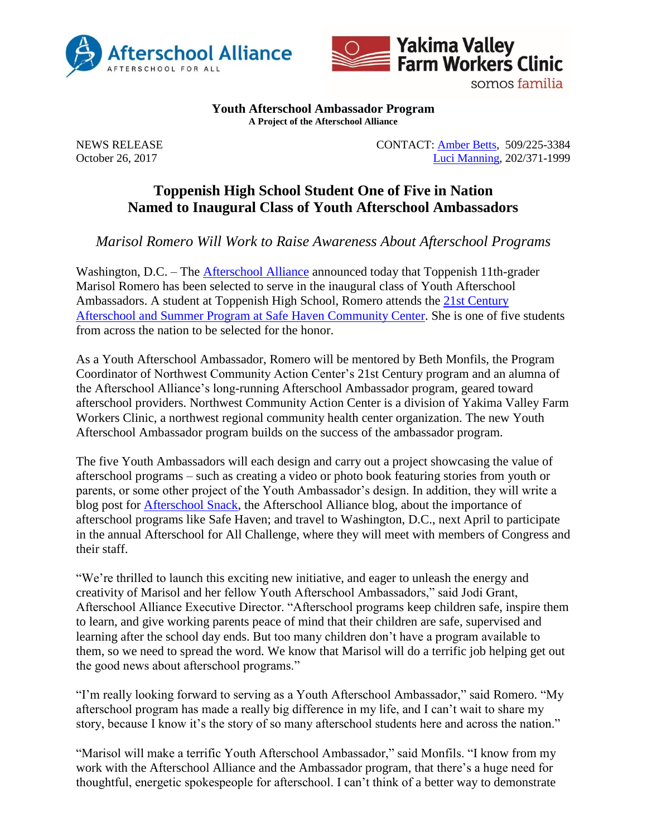



somos familia

**Youth Afterschool Ambassador Program A Project of the Afterschool Alliance**

NEWS RELEASE CONTACT: [Amber Betts,](mailto:amberbe@yvfwc.org) 509/225-3384 October 26, 2017 [Luci Manning,](mailto:luci@prsolutionsdc.com?subject=2017-18%20Ambassador:%20) 202/371-1999

## **Toppenish High School Student One of Five in Nation Named to Inaugural Class of Youth Afterschool Ambassadors**

*Marisol Romero Will Work to Raise Awareness About Afterschool Programs*

Washington, D.C. – The [Afterschool Alliance](http://www.afterschoolalliance.org/) announced today that Toppenish 11th-grader Marisol Romero has been selected to serve in the inaugural class of Youth Afterschool Ambassadors. A student at Toppenish High School, Romero attends the 21st [Century](http://afterschoolncac.com/safe-haven-community-center-2/)  [Afterschool and Summer Program at Safe Haven Community Center.](http://afterschoolncac.com/safe-haven-community-center-2/) She is one of five students from across the nation to be selected for the honor.

As a Youth Afterschool Ambassador, Romero will be mentored by Beth Monfils, the Program Coordinator of Northwest Community Action Center's 21st Century program and an alumna of the Afterschool Alliance's long-running Afterschool Ambassador program, geared toward afterschool providers. Northwest Community Action Center is a division of Yakima Valley Farm Workers Clinic, a northwest regional community health center organization. The new Youth Afterschool Ambassador program builds on the success of the ambassador program.

The five Youth Ambassadors will each design and carry out a project showcasing the value of afterschool programs – such as creating a video or photo book featuring stories from youth or parents, or some other project of the Youth Ambassador's design. In addition, they will write a blog post for [Afterschool Snack,](http://www.afterschoolalliance.org/afterschoolsnack/ASnack.cfm) the Afterschool Alliance blog, about the importance of afterschool programs like Safe Haven; and travel to Washington, D.C., next April to participate in the annual Afterschool for All Challenge, where they will meet with members of Congress and their staff.

"We're thrilled to launch this exciting new initiative, and eager to unleash the energy and creativity of Marisol and her fellow Youth Afterschool Ambassadors," said Jodi Grant, Afterschool Alliance Executive Director. "Afterschool programs keep children safe, inspire them to learn, and give working parents peace of mind that their children are safe, supervised and learning after the school day ends. But too many children don't have a program available to them, so we need to spread the word. We know that Marisol will do a terrific job helping get out the good news about afterschool programs."

"I'm really looking forward to serving as a Youth Afterschool Ambassador," said Romero. "My afterschool program has made a really big difference in my life, and I can't wait to share my story, because I know it's the story of so many afterschool students here and across the nation."

"Marisol will make a terrific Youth Afterschool Ambassador," said Monfils. "I know from my work with the Afterschool Alliance and the Ambassador program, that there's a huge need for thoughtful, energetic spokespeople for afterschool. I can't think of a better way to demonstrate